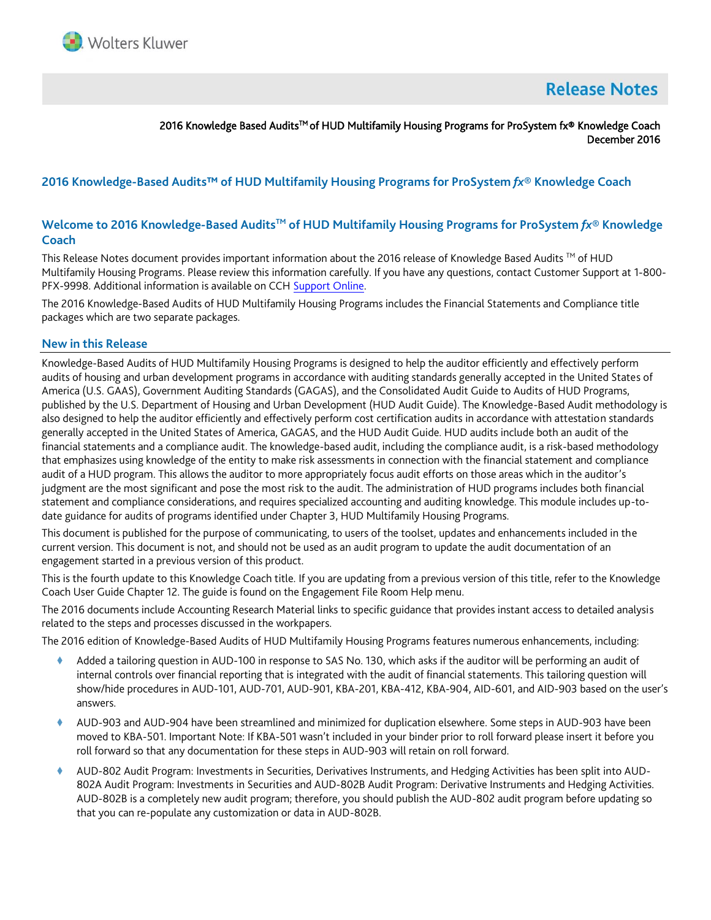

# **Release Notes**

## 2016 Knowledge Based Audits<sup>™</sup> of HUD Multifamily Housing Programs for ProSystem fx® Knowledge Coach December 2016

# **2016 Knowledge-Based Audits™ of HUD Multifamily Housing Programs for ProSystem** *fx***® Knowledge Coach**

# **Welcome to 2016 Knowledge-Based AuditsTM of HUD Multifamily Housing Programs for ProSystem** *fx***® Knowledge Coach**

This Release Notes document provides important information about the 2016 release of Knowledge Based Audits ™ of HUD Multifamily Housing Programs. Please review this information carefully. If you have any questions, contact Customer Support at 1-800- PFX-9998. Additional information is available on CC[H Support Online.](http://support.cch.com/productsupport/)

The 2016 Knowledge-Based Audits of HUD Multifamily Housing Programs includes the Financial Statements and Compliance title packages which are two separate packages.

#### **New in this Release**

Knowledge-Based Audits of HUD Multifamily Housing Programs is designed to help the auditor efficiently and effectively perform audits of housing and urban development programs in accordance with auditing standards generally accepted in the United States of America (U.S. GAAS), Government Auditing Standards (GAGAS), and the Consolidated Audit Guide to Audits of HUD Programs, published by the U.S. Department of Housing and Urban Development (HUD Audit Guide). The Knowledge-Based Audit methodology is also designed to help the auditor efficiently and effectively perform cost certification audits in accordance with attestation standards generally accepted in the United States of America, GAGAS, and the HUD Audit Guide. HUD audits include both an audit of the financial statements and a compliance audit. The knowledge-based audit, including the compliance audit, is a risk-based methodology that emphasizes using knowledge of the entity to make risk assessments in connection with the financial statement and compliance audit of a HUD program. This allows the auditor to more appropriately focus audit efforts on those areas which in the auditor's judgment are the most significant and pose the most risk to the audit. The administration of HUD programs includes both financial statement and compliance considerations, and requires specialized accounting and auditing knowledge. This module includes up-todate guidance for audits of programs identified under Chapter 3, HUD Multifamily Housing Programs.

This document is published for the purpose of communicating, to users of the toolset, updates and enhancements included in the current version. This document is not, and should not be used as an audit program to update the audit documentation of an engagement started in a previous version of this product.

This is the fourth update to this Knowledge Coach title. If you are updating from a previous version of this title, refer to the Knowledge Coach User Guide Chapter 12. The guide is found on the Engagement File Room Help menu.

The 2016 documents include Accounting Research Material links to specific guidance that provides instant access to detailed analysis related to the steps and processes discussed in the workpapers.

The 2016 edition of Knowledge-Based Audits of HUD Multifamily Housing Programs features numerous enhancements, including:

- Added a tailoring question in AUD-100 in response to SAS No. 130, which asks if the auditor will be performing an audit of internal controls over financial reporting that is integrated with the audit of financial statements. This tailoring question will show/hide procedures in AUD-101, AUD-701, AUD-901, KBA-201, KBA-412, KBA-904, AID-601, and AID-903 based on the user's answers.
- AUD-903 and AUD-904 have been streamlined and minimized for duplication elsewhere. Some steps in AUD-903 have been moved to KBA-501. Important Note: If KBA-501 wasn't included in your binder prior to roll forward please insert it before you roll forward so that any documentation for these steps in AUD-903 will retain on roll forward.
- AUD-802 Audit Program: Investments in Securities, Derivatives Instruments, and Hedging Activities has been split into AUD-802A Audit Program: Investments in Securities and AUD-802B Audit Program: Derivative Instruments and Hedging Activities. AUD-802B is a completely new audit program; therefore, you should publish the AUD-802 audit program before updating so that you can re-populate any customization or data in AUD-802B.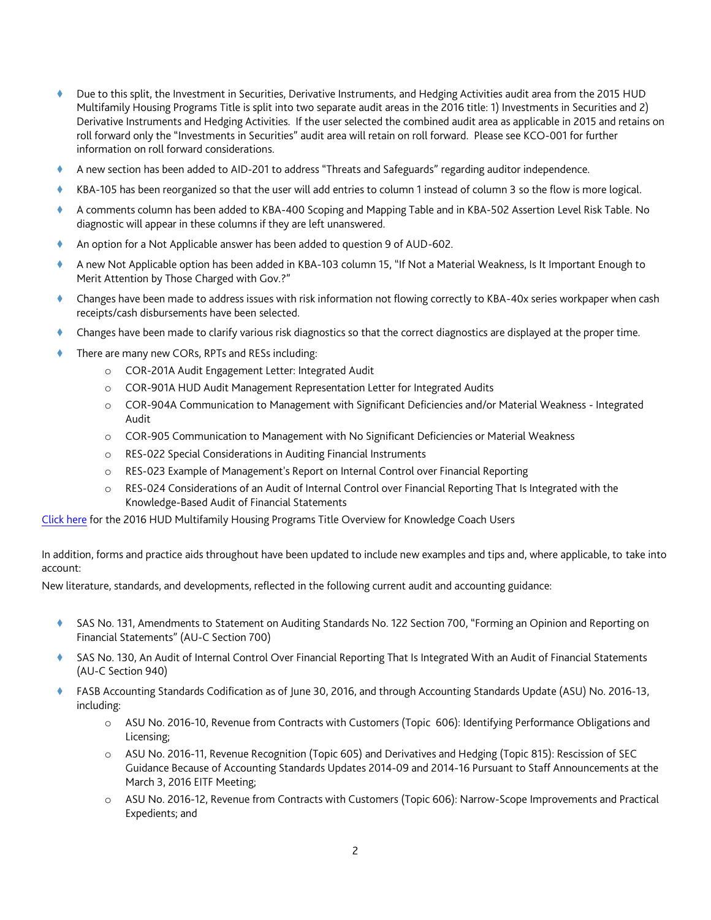- Due to this split, the Investment in Securities, Derivative Instruments, and Hedging Activities audit area from the 2015 HUD Multifamily Housing Programs Title is split into two separate audit areas in the 2016 title: 1) Investments in Securities and 2) Derivative Instruments and Hedging Activities. If the user selected the combined audit area as applicable in 2015 and retains on roll forward only the "Investments in Securities" audit area will retain on roll forward. Please see KCO-001 for further information on roll forward considerations.
- A new section has been added to AID-201 to address "Threats and Safeguards" regarding auditor independence.
- KBA-105 has been reorganized so that the user will add entries to column 1 instead of column 3 so the flow is more logical.
- A comments column has been added to KBA-400 Scoping and Mapping Table and in KBA-502 Assertion Level Risk Table. No diagnostic will appear in these columns if they are left unanswered.
- An option for a Not Applicable answer has been added to question 9 of AUD-602.
- A new Not Applicable option has been added in KBA-103 column 15, "If Not a Material Weakness, Is It Important Enough to Merit Attention by Those Charged with Gov.?"
- Changes have been made to address issues with risk information not flowing correctly to KBA-40x series workpaper when cash receipts/cash disbursements have been selected.
- Changes have been made to clarify various risk diagnostics so that the correct diagnostics are displayed at the proper time.
- There are many new CORs, RPTs and RESs including:
	- o COR-201A Audit Engagement Letter: Integrated Audit
	- o COR-901A HUD Audit Management Representation Letter for Integrated Audits
	- o COR-904A Communication to Management with Significant Deficiencies and/or Material Weakness Integrated Audit
	- o COR-905 Communication to Management with No Significant Deficiencies or Material Weakness
	- o RES-022 Special Considerations in Auditing Financial Instruments
	- o RES-023 Example of Management's Report on Internal Control over Financial Reporting
	- o RES-024 Considerations of an Audit of Internal Control over Financial Reporting That Is Integrated with the Knowledge-Based Audit of Financial Statements

[Click here](http://support.cch.com/updates/KnowledgeCoach/pdf/guides_tab/2016%20HUD%20Title%20Overview%20for%20Knowledge%20Coach%20Users.pdf) for the 2016 HUD Multifamily Housing Programs Title Overview for Knowledge Coach Users

In addition, forms and practice aids throughout have been updated to include new examples and tips and, where applicable, to take into account:

New literature, standards, and developments, reflected in the following current audit and accounting guidance:

- ◆ SAS No. 131, Amendments to Statement on Auditing Standards No. 122 Section 700, "Forming an Opinion and Reporting on Financial Statements" (AU-C Section 700)
- SAS No. 130, An Audit of Internal Control Over Financial Reporting That Is Integrated With an Audit of Financial Statements (AU-C Section 940)
- FASB Accounting Standards Codification as of June 30, 2016, and through Accounting Standards Update (ASU) No. 2016-13, including:
	- o ASU No. 2016-10, Revenue from Contracts with Customers (Topic 606): Identifying Performance Obligations and Licensing;
	- o ASU No. 2016-11, Revenue Recognition (Topic 605) and Derivatives and Hedging (Topic 815): Rescission of SEC Guidance Because of Accounting Standards Updates 2014-09 and 2014-16 Pursuant to Staff Announcements at the March 3, 2016 EITF Meeting;
	- o ASU No. 2016-12, Revenue from Contracts with Customers (Topic 606): Narrow-Scope Improvements and Practical Expedients; and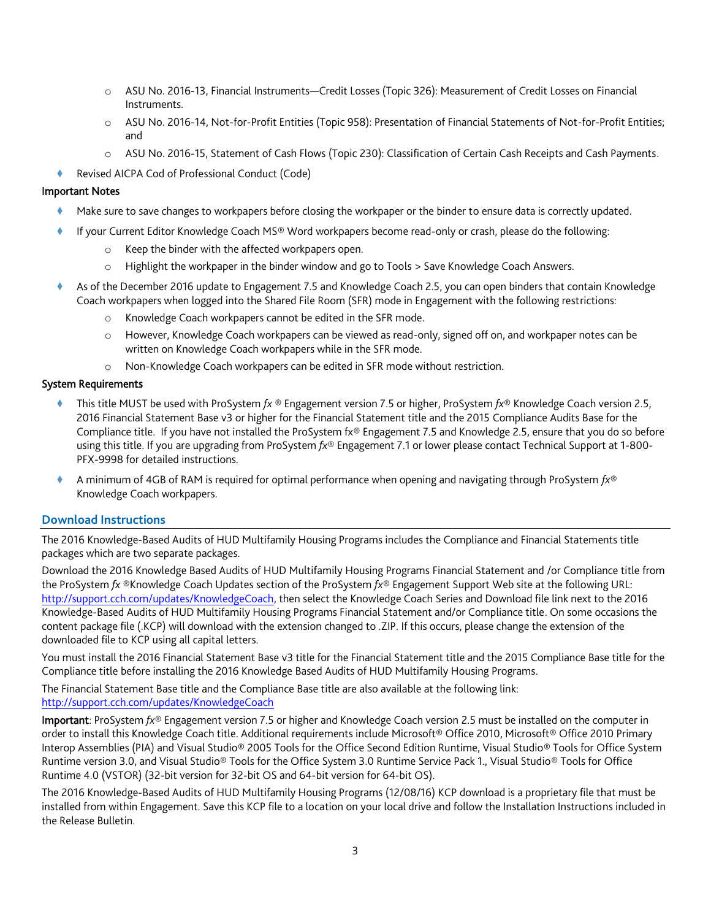- o ASU No. 2016-13, Financial Instruments—Credit Losses (Topic 326): Measurement of Credit Losses on Financial Instruments.
- o [ASU No. 2016-14, Not-for-Profit Entities \(Topic 958\): Presentation of Financial Statements of Not-for-Profit Entities;](http://www.accountingresearchmanager.com/wk/rm.nsf/0/991350416D944CD586258013007D608C?OpenDocument#_blank) and
- o [ASU No. 2016-15, Statement of Cash Flows \(Topic 230\): Classification of Certain Cash Receipts and Cash Payments.](http://www.accountingresearchmanager.com/wk/rm.nsf/0/66F1E0EC6F91D6968625801B005B10EF?OpenDocument#_blank)
- Revised AICPA Cod of Professional Conduct (Code)

#### Important Notes

- Make sure to save changes to workpapers before closing the workpaper or the binder to ensure data is correctly updated.
- If your Current Editor Knowledge Coach MS® Word workpapers become read-only or crash, please do the following:
	- o Keep the binder with the affected workpapers open.
	- o Highlight the workpaper in the binder window and go to Tools > Save Knowledge Coach Answers.
- As of the December 2016 update to Engagement 7.5 and Knowledge Coach 2.5, you can open binders that contain Knowledge Coach workpapers when logged into the Shared File Room (SFR) mode in Engagement with the following restrictions:
	- o Knowledge Coach workpapers cannot be edited in the SFR mode.
	- o However, Knowledge Coach workpapers can be viewed as read-only, signed off on, and workpaper notes can be written on Knowledge Coach workpapers while in the SFR mode.
	- o Non-Knowledge Coach workpapers can be edited in SFR mode without restriction.

## System Requirements

- This title MUST be used with ProSystem *fx* ® Engagement version 7.5 or higher, ProSystem *fx*® Knowledge Coach version 2.5, 2016 Financial Statement Base v3 or higher for the Financial Statement title and the 2015 Compliance Audits Base for the Compliance title. If you have not installed the ProSystem fx® Engagement 7.5 and Knowledge 2.5, ensure that you do so before using this title. If you are upgrading from ProSystem *fx*® Engagement 7.1 or lower please contact Technical Support at 1-800- PFX-9998 for detailed instructions.
- A minimum of 4GB of RAM is required for optimal performance when opening and navigating through ProSystem *fx*® Knowledge Coach workpapers.

## **Download Instructions**

The 2016 Knowledge-Based Audits of HUD Multifamily Housing Programs includes the Compliance and Financial Statements title packages which are two separate packages.

Download the 2016 Knowledge Based Audits of HUD Multifamily Housing Programs Financial Statement and /or Compliance title from the ProSystem *fx* ®Knowledge Coach Updates section of the ProSystem *fx*® Engagement Support Web site at the following URL: [http://support.cch.com/updates/KnowledgeCoach,](http://support.cch.com/updates/KnowledgeCoach) then select the Knowledge Coach Series and Download file link next to the 2016 Knowledge-Based Audits of HUD Multifamily Housing Programs Financial Statement and/or Compliance title. On some occasions the content package file (.KCP) will download with the extension changed to .ZIP. If this occurs, please change the extension of the downloaded file to KCP using all capital letters.

You must install the 2016 Financial Statement Base v3 title for the Financial Statement title and the 2015 Compliance Base title for the Compliance title before installing the 2016 Knowledge Based Audits of HUD Multifamily Housing Programs.

The Financial Statement Base title and the Compliance Base title are also available at the following link: <http://support.cch.com/updates/KnowledgeCoach>

Important: ProSystem *fx*® Engagement version 7.5 or higher and Knowledge Coach version 2.5 must be installed on the computer in order to install this Knowledge Coach title. Additional requirements include Microsoft® Office 2010, Microsoft® Office 2010 Primary Interop Assemblies (PIA) and Visual Studio® 2005 Tools for the Office Second Edition Runtime, Visual Studio® Tools for Office System Runtime version 3.0, and Visual Studio® Tools for the Office System 3.0 Runtime Service Pack 1., Visual Studio® Tools for Office Runtime 4.0 (VSTOR) (32-bit version for 32-bit OS and 64-bit version for 64-bit OS).

The 2016 Knowledge-Based Audits of HUD Multifamily Housing Programs (12/08/16) KCP download is a proprietary file that must be installed from within Engagement. Save this KCP file to a location on your local drive and follow the Installation Instructions included in the Release Bulletin.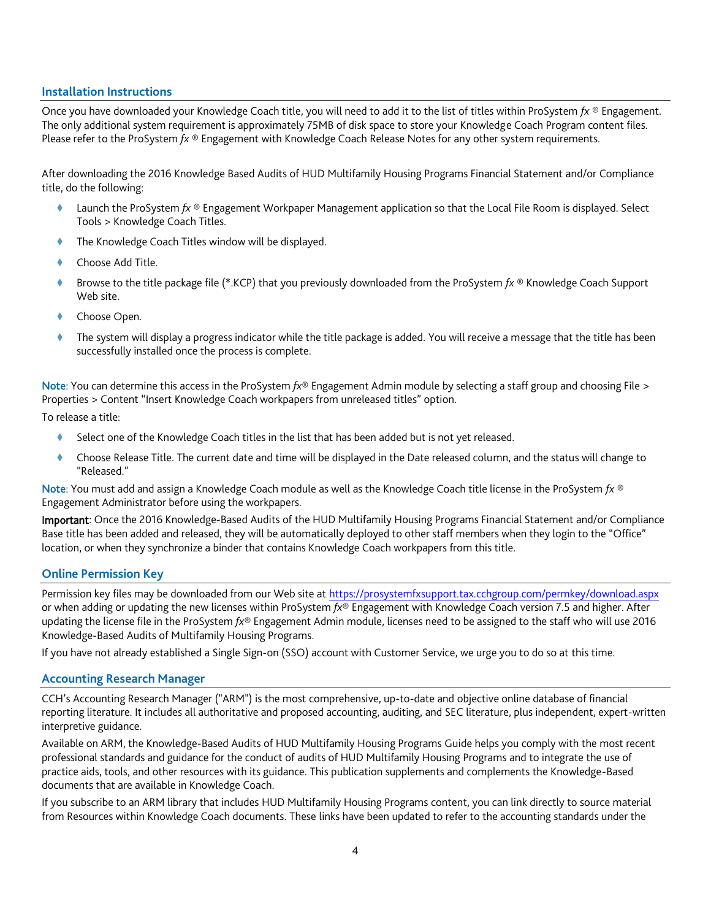#### **Installation Instructions**

Once you have downloaded your Knowledge Coach title, you will need to add it to the list of titles within ProSystem *fx* ® Engagement. The only additional system requirement is approximately 75MB of disk space to store your Knowledge Coach Program content files. Please refer to the ProSystem *fx* ® Engagement with Knowledge Coach Release Notes for any other system requirements.

After downloading the 2016 Knowledge Based Audits of HUD Multifamily Housing Programs Financial Statement and/or Compliance title, do the following:

- Launch the ProSystem *fx* ® Engagement Workpaper Management application so that the Local File Room is displayed. Select Tools > Knowledge Coach Titles.
- The Knowledge Coach Titles window will be displayed.
- Choose Add Title.
- Browse to the title package file (\*.KCP) that you previously downloaded from the ProSystem *fx* ® Knowledge Coach Support Web site.
- Choose Open.
- The system will display a progress indicator while the title package is added. You will receive a message that the title has been successfully installed once the process is complete.

Note: You can determine this access in the ProSystem *fx*® Engagement Admin module by selecting a staff group and choosing File > Properties > Content "Insert Knowledge Coach workpapers from unreleased titles" option.

To release a title:

- Select one of the Knowledge Coach titles in the list that has been added but is not yet released.
- Choose Release Title. The current date and time will be displayed in the Date released column, and the status will change to "Released."

Note: You must add and assign a Knowledge Coach module as well as the Knowledge Coach title license in the ProSystem *fx* ® Engagement Administrator before using the workpapers.

Important: Once the 2016 Knowledge-Based Audits of the HUD Multifamily Housing Programs Financial Statement and/or Compliance Base title has been added and released, they will be automatically deployed to other staff members when they login to the "Office" location, or when they synchronize a binder that contains Knowledge Coach workpapers from this title.

#### **Online Permission Key**

Permission key files may be downloaded from our Web site a[t https://prosystemfxsupport.tax.cchgroup.com/permkey/download.aspx](https://prosystemfxsupport.tax.cchgroup.com/permkey/download.aspx) or when adding or updating the new licenses within ProSystem *fx*® Engagement with Knowledge Coach version 7.5 and higher. After updating the license file in the ProSystem *fx*® Engagement Admin module, licenses need to be assigned to the staff who will use 2016 Knowledge-Based Audits of Multifamily Housing Programs.

If you have not already established a Single Sign-on (SSO) account with Customer Service, we urge you to do so at this time.

#### **Accounting Research Manager**

CCH's Accounting Research Manager ("ARM") is the most comprehensive, up-to-date and objective online database of financial reporting literature. It includes all authoritative and proposed accounting, auditing, and SEC literature, plus independent, expert-written interpretive guidance.

Available on ARM, the Knowledge-Based Audits of HUD Multifamily Housing Programs Guide helps you comply with the most recent professional standards and guidance for the conduct of audits of HUD Multifamily Housing Programs and to integrate the use of practice aids, tools, and other resources with its guidance. This publication supplements and complements the Knowledge-Based documents that are available in Knowledge Coach.

If you subscribe to an ARM library that includes HUD Multifamily Housing Programs content, you can link directly to source material from Resources within Knowledge Coach documents. These links have been updated to refer to the accounting standards under the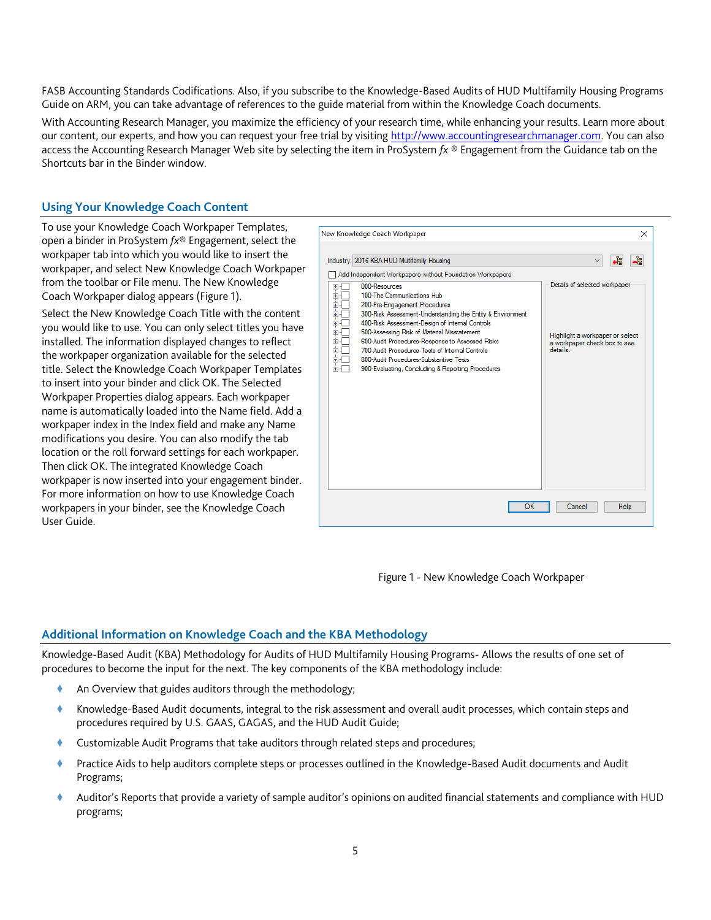FASB Accounting Standards Codifications. Also, if you subscribe to the Knowledge-Based Audits of HUD Multifamily Housing Programs Guide on ARM, you can take advantage of references to the guide material from within the Knowledge Coach documents.

With Accounting Research Manager, you maximize the efficiency of your research time, while enhancing your results. Learn more about our content, our experts, and how you can request your free trial by visiting [http://www.accountingresearchmanager.com.](http://www.accountingresearchmanager.com/) You can also access the Accounting Research Manager Web site by selecting the item in ProSystem *fx* ® Engagement from the Guidance tab on the Shortcuts bar in the Binder window.

# **Using Your Knowledge Coach Content**

To use your Knowledge Coach Workpaper Templates, open a binder in ProSystem *fx*® Engagement, select the workpaper tab into which you would like to insert the workpaper, and select New Knowledge Coach Workpaper from the toolbar or File menu. The New Knowledge Coach Workpaper dialog appears (Figure 1).

Select the New Knowledge Coach Title with the content you would like to use. You can only select titles you have installed. The information displayed changes to reflect the workpaper organization available for the selected title. Select the Knowledge Coach Workpaper Templates to insert into your binder and click OK. The Selected Workpaper Properties dialog appears. Each workpaper name is automatically loaded into the Name field. Add a workpaper index in the Index field and make any Name modifications you desire. You can also modify the tab location or the roll forward settings for each workpaper. Then click OK. The integrated Knowledge Coach workpaper is now inserted into your engagement binder. For more information on how to use Knowledge Coach workpapers in your binder, see the Knowledge Coach User Guide.



Figure 1 - New Knowledge Coach Workpaper

## **Additional Information on Knowledge Coach and the KBA Methodology**

Knowledge-Based Audit (KBA) Methodology for Audits of HUD Multifamily Housing Programs- Allows the results of one set of procedures to become the input for the next. The key components of the KBA methodology include:

- An Overview that guides auditors through the methodology;
- Knowledge-Based Audit documents, integral to the risk assessment and overall audit processes, which contain steps and procedures required by U.S. GAAS, GAGAS, and the HUD Audit Guide;
- Customizable Audit Programs that take auditors through related steps and procedures;
- Practice Aids to help auditors complete steps or processes outlined in the Knowledge-Based Audit documents and Audit Programs;
- Auditor's Reports that provide a variety of sample auditor's opinions on audited financial statements and compliance with HUD programs;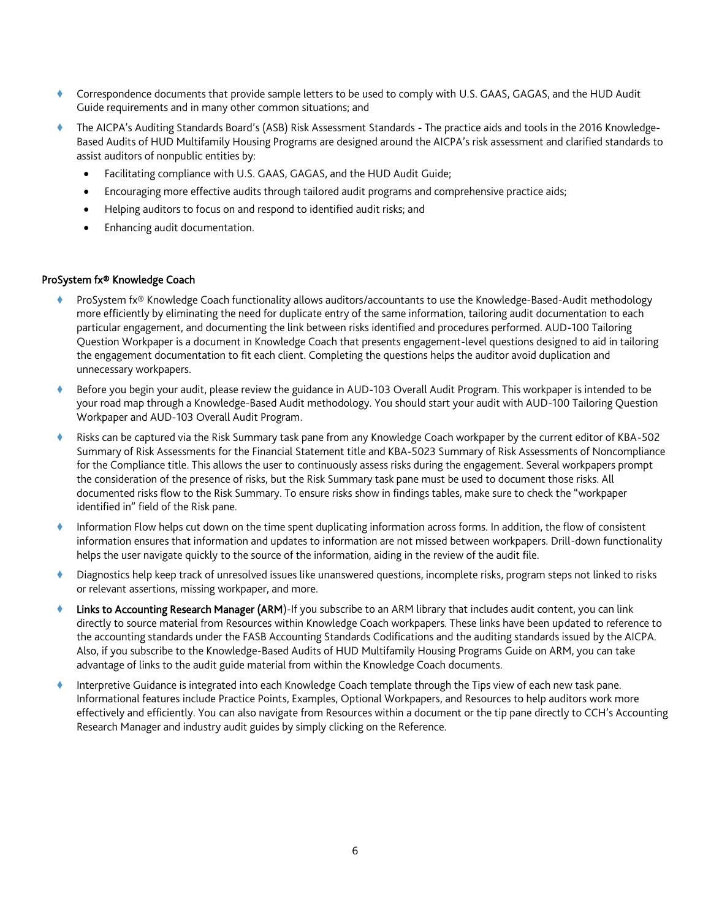- Correspondence documents that provide sample letters to be used to comply with U.S. GAAS, GAGAS, and the HUD Audit Guide requirements and in many other common situations; and
- The AICPA's Auditing Standards Board's (ASB) Risk Assessment Standards The practice aids and tools in the 2016 Knowledge-Based Audits of HUD Multifamily Housing Programs are designed around the AICPA's risk assessment and clarified standards to assist auditors of nonpublic entities by:
	- Facilitating compliance with U.S. GAAS, GAGAS, and the HUD Audit Guide;
	- Encouraging more effective audits through tailored audit programs and comprehensive practice aids;
	- Helping auditors to focus on and respond to identified audit risks; and
	- Enhancing audit documentation.

#### ProSystem fx® Knowledge Coach

- ProSystem fx® Knowledge Coach functionality allows auditors/accountants to use the Knowledge-Based-Audit methodology more efficiently by eliminating the need for duplicate entry of the same information, tailoring audit documentation to each particular engagement, and documenting the link between risks identified and procedures performed. AUD-100 Tailoring Question Workpaper is a document in Knowledge Coach that presents engagement-level questions designed to aid in tailoring the engagement documentation to fit each client. Completing the questions helps the auditor avoid duplication and unnecessary workpapers.
- Before you begin your audit, please review the guidance in AUD-103 Overall Audit Program. This workpaper is intended to be your road map through a Knowledge-Based Audit methodology. You should start your audit with AUD-100 Tailoring Question Workpaper and AUD-103 Overall Audit Program.
- Risks can be captured via the Risk Summary task pane from any Knowledge Coach workpaper by the current editor of KBA-502 Summary of Risk Assessments for the Financial Statement title and KBA-5023 Summary of Risk Assessments of Noncompliance for the Compliance title. This allows the user to continuously assess risks during the engagement. Several workpapers prompt the consideration of the presence of risks, but the Risk Summary task pane must be used to document those risks. All documented risks flow to the Risk Summary. To ensure risks show in findings tables, make sure to check the "workpaper identified in" field of the Risk pane.
- Information Flow helps cut down on the time spent duplicating information across forms. In addition, the flow of consistent information ensures that information and updates to information are not missed between workpapers. Drill-down functionality helps the user navigate quickly to the source of the information, aiding in the review of the audit file.
- Diagnostics help keep track of unresolved issues like unanswered questions, incomplete risks, program steps not linked to risks or relevant assertions, missing workpaper, and more.
- Links to Accounting Research Manager (ARM)-If you subscribe to an ARM library that includes audit content, you can link directly to source material from Resources within Knowledge Coach workpapers. These links have been updated to reference to the accounting standards under the FASB Accounting Standards Codifications and the auditing standards issued by the AICPA. Also, if you subscribe to the Knowledge-Based Audits of HUD Multifamily Housing Programs Guide on ARM, you can take advantage of links to the audit guide material from within the Knowledge Coach documents.
- Interpretive Guidance is integrated into each Knowledge Coach template through the Tips view of each new task pane. Informational features include Practice Points, Examples, Optional Workpapers, and Resources to help auditors work more effectively and efficiently. You can also navigate from Resources within a document or the tip pane directly to CCH's Accounting Research Manager and industry audit guides by simply clicking on the Reference.